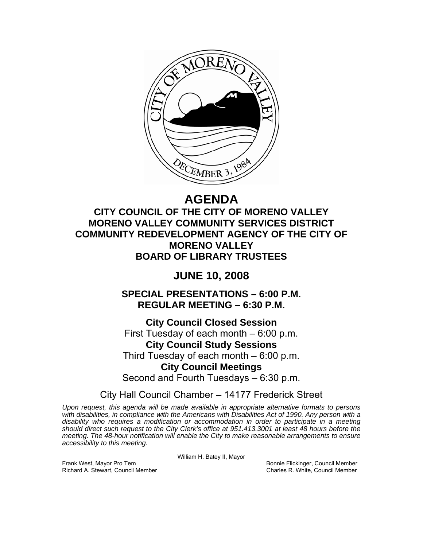

# **AGENDA**

**CITY COUNCIL OF THE CITY OF MORENO VALLEY MORENO VALLEY COMMUNITY SERVICES DISTRICT COMMUNITY REDEVELOPMENT AGENCY OF THE CITY OF MORENO VALLEY BOARD OF LIBRARY TRUSTEES** 

## **JUNE 10, 2008**

**SPECIAL PRESENTATIONS – 6:00 P.M. REGULAR MEETING – 6:30 P.M.** 

**City Council Closed Session**  First Tuesday of each month – 6:00 p.m. **City Council Study Sessions**  Third Tuesday of each month – 6:00 p.m. **City Council Meetings**  Second and Fourth Tuesdays – 6:30 p.m.

City Hall Council Chamber – 14177 Frederick Street

*Upon request, this agenda will be made available in appropriate alternative formats to persons with disabilities, in compliance with the Americans with Disabilities Act of 1990. Any person with a disability who requires a modification or accommodation in order to participate in a meeting should direct such request to the City Clerk's office at 951.413.3001 at least 48 hours before the meeting. The 48-hour notification will enable the City to make reasonable arrangements to ensure accessibility to this meeting.* 

William H. Batey II, Mayor

Frank West, Mayor Pro Tem Bonnie Flickinger, Council Member Richard A. Stewart, Council Member Charles R. White, Council Member Charles R. White, Council Member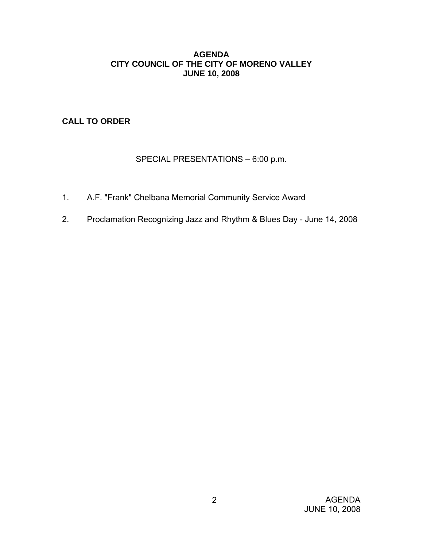#### **AGENDA CITY COUNCIL OF THE CITY OF MORENO VALLEY JUNE 10, 2008**

**CALL TO ORDER**

## SPECIAL PRESENTATIONS – 6:00 p.m.

- 1. A.F. "Frank" Chelbana Memorial Community Service Award
- 2. Proclamation Recognizing Jazz and Rhythm & Blues Day June 14, 2008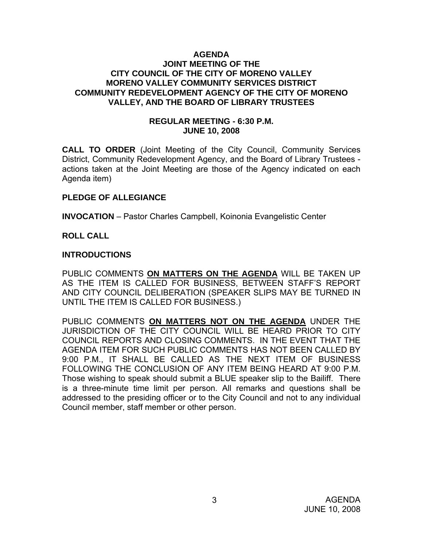#### **AGENDA JOINT MEETING OF THE CITY COUNCIL OF THE CITY OF MORENO VALLEY MORENO VALLEY COMMUNITY SERVICES DISTRICT COMMUNITY REDEVELOPMENT AGENCY OF THE CITY OF MORENO VALLEY, AND THE BOARD OF LIBRARY TRUSTEES**

#### **REGULAR MEETING - 6:30 P.M. JUNE 10, 2008**

**CALL TO ORDER** (Joint Meeting of the City Council, Community Services District, Community Redevelopment Agency, and the Board of Library Trustees actions taken at the Joint Meeting are those of the Agency indicated on each Agenda item)

### **PLEDGE OF ALLEGIANCE**

**INVOCATION** – Pastor Charles Campbell, Koinonia Evangelistic Center

#### **ROLL CALL**

#### **INTRODUCTIONS**

PUBLIC COMMENTS **ON MATTERS ON THE AGENDA** WILL BE TAKEN UP AS THE ITEM IS CALLED FOR BUSINESS, BETWEEN STAFF'S REPORT AND CITY COUNCIL DELIBERATION (SPEAKER SLIPS MAY BE TURNED IN UNTIL THE ITEM IS CALLED FOR BUSINESS.)

PUBLIC COMMENTS **ON MATTERS NOT ON THE AGENDA** UNDER THE JURISDICTION OF THE CITY COUNCIL WILL BE HEARD PRIOR TO CITY COUNCIL REPORTS AND CLOSING COMMENTS. IN THE EVENT THAT THE AGENDA ITEM FOR SUCH PUBLIC COMMENTS HAS NOT BEEN CALLED BY 9:00 P.M., IT SHALL BE CALLED AS THE NEXT ITEM OF BUSINESS FOLLOWING THE CONCLUSION OF ANY ITEM BEING HEARD AT 9:00 P.M. Those wishing to speak should submit a BLUE speaker slip to the Bailiff. There is a three-minute time limit per person. All remarks and questions shall be addressed to the presiding officer or to the City Council and not to any individual Council member, staff member or other person.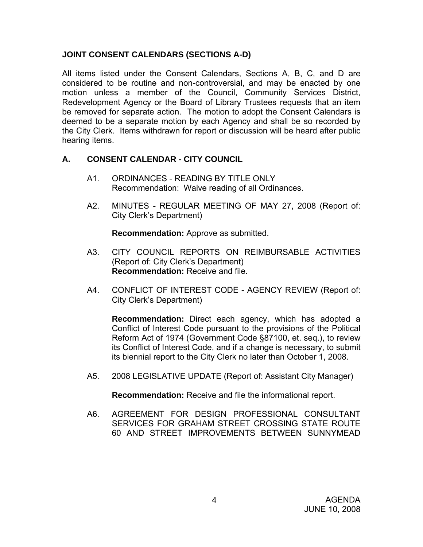## **JOINT CONSENT CALENDARS (SECTIONS A-D)**

All items listed under the Consent Calendars, Sections A, B, C, and D are considered to be routine and non-controversial, and may be enacted by one motion unless a member of the Council, Community Services District, Redevelopment Agency or the Board of Library Trustees requests that an item be removed for separate action. The motion to adopt the Consent Calendars is deemed to be a separate motion by each Agency and shall be so recorded by the City Clerk. Items withdrawn for report or discussion will be heard after public hearing items.

## **A. CONSENT CALENDAR** - **CITY COUNCIL**

- A1. ORDINANCES READING BY TITLE ONLY Recommendation: Waive reading of all Ordinances.
- A2. MINUTES REGULAR MEETING OF MAY 27, 2008 (Report of: City Clerk's Department)

**Recommendation:** Approve as submitted.

- A3. CITY COUNCIL REPORTS ON REIMBURSABLE ACTIVITIES (Report of: City Clerk's Department) **Recommendation:** Receive and file.
- A4. CONFLICT OF INTEREST CODE AGENCY REVIEW (Report of: City Clerk's Department)

**Recommendation:** Direct each agency, which has adopted a Conflict of Interest Code pursuant to the provisions of the Political Reform Act of 1974 (Government Code §87100, et. seq.), to review its Conflict of Interest Code, and if a change is necessary, to submit its biennial report to the City Clerk no later than October 1, 2008.

A5. 2008 LEGISLATIVE UPDATE (Report of: Assistant City Manager)

**Recommendation:** Receive and file the informational report.

A6. AGREEMENT FOR DESIGN PROFESSIONAL CONSULTANT SERVICES FOR GRAHAM STREET CROSSING STATE ROUTE 60 AND STREET IMPROVEMENTS BETWEEN SUNNYMEAD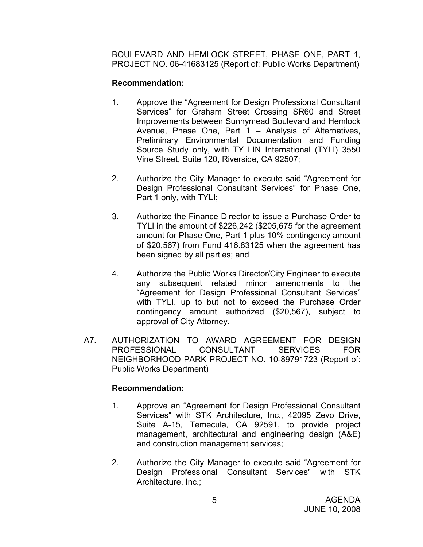BOULEVARD AND HEMLOCK STREET, PHASE ONE, PART 1, PROJECT NO. 06-41683125 (Report of: Public Works Department)

## **Recommendation:**

- 1. Approve the "Agreement for Design Professional Consultant Services" for Graham Street Crossing SR60 and Street Improvements between Sunnymead Boulevard and Hemlock Avenue, Phase One, Part 1 – Analysis of Alternatives, Preliminary Environmental Documentation and Funding Source Study only, with TY LIN International (TYLI) 3550 Vine Street, Suite 120, Riverside, CA 92507;
- 2. Authorize the City Manager to execute said "Agreement for Design Professional Consultant Services" for Phase One, Part 1 only, with TYLI;
- 3. Authorize the Finance Director to issue a Purchase Order to TYLI in the amount of \$226,242 (\$205,675 for the agreement amount for Phase One, Part 1 plus 10% contingency amount of \$20,567) from Fund 416.83125 when the agreement has been signed by all parties; and
- 4. Authorize the Public Works Director/City Engineer to execute any subsequent related minor amendments to the "Agreement for Design Professional Consultant Services" with TYLI, up to but not to exceed the Purchase Order contingency amount authorized (\$20,567), subject to approval of City Attorney.
- A7. AUTHORIZATION TO AWARD AGREEMENT FOR DESIGN PROFESSIONAL CONSULTANT SERVICES FOR NEIGHBORHOOD PARK PROJECT NO. 10-89791723 (Report of: Public Works Department)

## **Recommendation:**

- 1. Approve an "Agreement for Design Professional Consultant Services" with STK Architecture, Inc., 42095 Zevo Drive, Suite A-15, Temecula, CA 92591, to provide project management, architectural and engineering design (A&E) and construction management services;
- 2. Authorize the City Manager to execute said "Agreement for Design Professional Consultant Services" with STK Architecture, Inc.;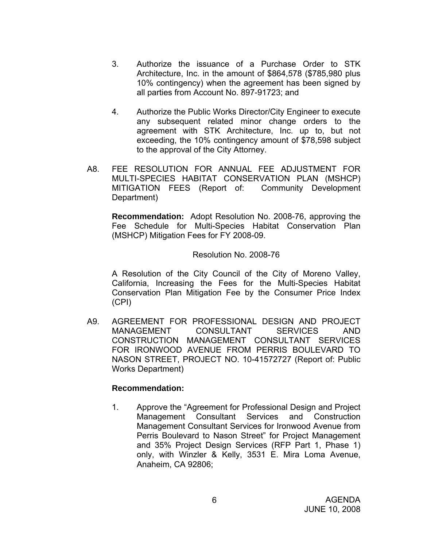- 3. Authorize the issuance of a Purchase Order to STK Architecture, Inc. in the amount of \$864,578 (\$785,980 plus 10% contingency) when the agreement has been signed by all parties from Account No. 897-91723; and
- 4. Authorize the Public Works Director/City Engineer to execute any subsequent related minor change orders to the agreement with STK Architecture, Inc. up to, but not exceeding, the 10% contingency amount of \$78,598 subject to the approval of the City Attorney.
- A8. FEE RESOLUTION FOR ANNUAL FEE ADJUSTMENT FOR MULTI-SPECIES HABITAT CONSERVATION PLAN (MSHCP) MITIGATION FEES (Report of: Community Development Department)

**Recommendation:** Adopt Resolution No. 2008-76, approving the Fee Schedule for Multi-Species Habitat Conservation Plan (MSHCP) Mitigation Fees for FY 2008-09.

Resolution No. 2008-76

A Resolution of the City Council of the City of Moreno Valley, California, Increasing the Fees for the Multi-Species Habitat Conservation Plan Mitigation Fee by the Consumer Price Index (CPI)

A9. AGREEMENT FOR PROFESSIONAL DESIGN AND PROJECT MANAGEMENT CONSULTANT SERVICES AND CONSTRUCTION MANAGEMENT CONSULTANT SERVICES FOR IRONWOOD AVENUE FROM PERRIS BOULEVARD TO NASON STREET, PROJECT NO. 10-41572727 (Report of: Public Works Department)

## **Recommendation:**

 1. Approve the "Agreement for Professional Design and Project Management Consultant Services and Construction Management Consultant Services for Ironwood Avenue from Perris Boulevard to Nason Street" for Project Management and 35% Project Design Services (RFP Part 1, Phase 1) only, with Winzler & Kelly, 3531 E. Mira Loma Avenue, Anaheim, CA 92806;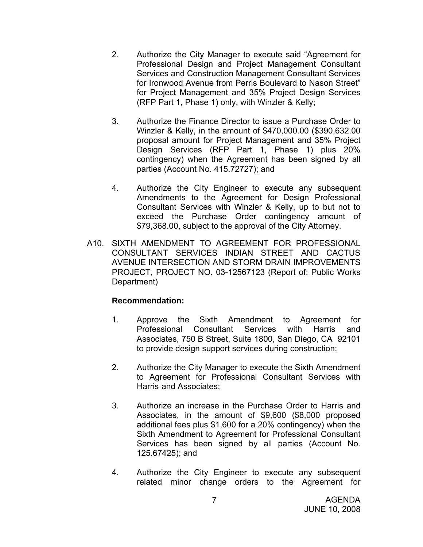- 2. Authorize the City Manager to execute said "Agreement for Professional Design and Project Management Consultant Services and Construction Management Consultant Services for Ironwood Avenue from Perris Boulevard to Nason Street" for Project Management and 35% Project Design Services (RFP Part 1, Phase 1) only, with Winzler & Kelly;
- 3. Authorize the Finance Director to issue a Purchase Order to Winzler & Kelly, in the amount of \$470,000.00 (\$390,632.00 proposal amount for Project Management and 35% Project Design Services (RFP Part 1, Phase 1) plus 20% contingency) when the Agreement has been signed by all parties (Account No. 415.72727); and
- 4. Authorize the City Engineer to execute any subsequent Amendments to the Agreement for Design Professional Consultant Services with Winzler & Kelly, up to but not to exceed the Purchase Order contingency amount of \$79,368.00, subject to the approval of the City Attorney.
- A10. SIXTH AMENDMENT TO AGREEMENT FOR PROFESSIONAL CONSULTANT SERVICES INDIAN STREET AND CACTUS AVENUE INTERSECTION AND STORM DRAIN IMPROVEMENTS PROJECT, PROJECT NO. 03-12567123 (Report of: Public Works Department)

#### **Recommendation:**

- 1. Approve the Sixth Amendment to Agreement for Professional Consultant Services with Harris and Associates, 750 B Street, Suite 1800, San Diego, CA 92101 to provide design support services during construction;
- 2. Authorize the City Manager to execute the Sixth Amendment to Agreement for Professional Consultant Services with Harris and Associates;
- 3. Authorize an increase in the Purchase Order to Harris and Associates, in the amount of \$9,600 (\$8,000 proposed additional fees plus \$1,600 for a 20% contingency) when the Sixth Amendment to Agreement for Professional Consultant Services has been signed by all parties (Account No. 125.67425); and
- 4. Authorize the City Engineer to execute any subsequent related minor change orders to the Agreement for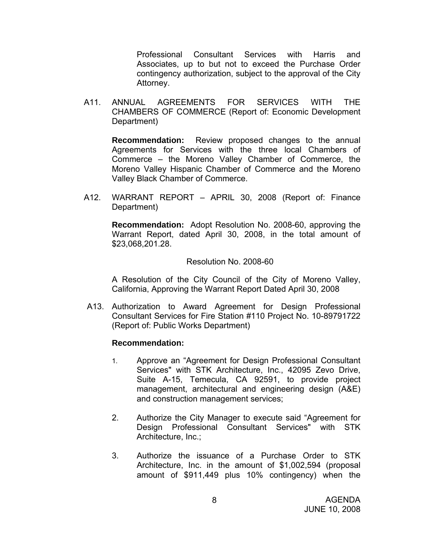Professional Consultant Services with Harris and Associates, up to but not to exceed the Purchase Order contingency authorization, subject to the approval of the City Attorney.

A11. ANNUAL AGREEMENTS FOR SERVICES WITH THE CHAMBERS OF COMMERCE (Report of: Economic Development Department)

**Recommendation:** Review proposed changes to the annual Agreements for Services with the three local Chambers of Commerce – the Moreno Valley Chamber of Commerce, the Moreno Valley Hispanic Chamber of Commerce and the Moreno Valley Black Chamber of Commerce.

A12. WARRANT REPORT – APRIL 30, 2008 (Report of: Finance Department)

**Recommendation:** Adopt Resolution No. 2008-60, approving the Warrant Report, dated April 30, 2008, in the total amount of \$23,068,201.28.

#### Resolution No. 2008-60

 A Resolution of the City Council of the City of Moreno Valley, California, Approving the Warrant Report Dated April 30, 2008

A13. Authorization to Award Agreement for Design Professional Consultant Services for Fire Station #110 Project No. 10-89791722 (Report of: Public Works Department)

#### **Recommendation:**

- 1. Approve an "Agreement for Design Professional Consultant Services" with STK Architecture, Inc., 42095 Zevo Drive, Suite A-15, Temecula, CA 92591, to provide project management, architectural and engineering design (A&E) and construction management services;
- 2. Authorize the City Manager to execute said "Agreement for Design Professional Consultant Services" with STK Architecture, Inc.;
- 3. Authorize the issuance of a Purchase Order to STK Architecture, Inc. in the amount of \$1,002,594 (proposal amount of \$911,449 plus 10% contingency) when the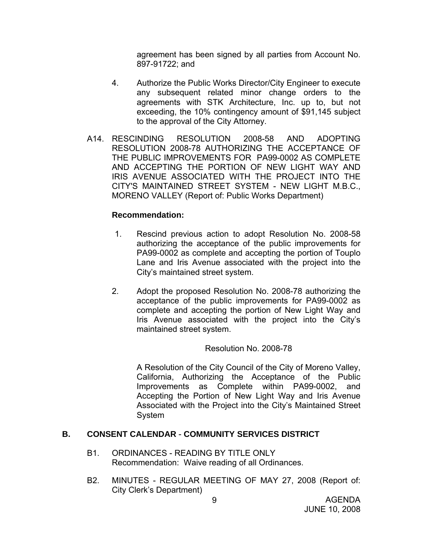agreement has been signed by all parties from Account No. 897-91722; and

- 4. Authorize the Public Works Director/City Engineer to execute any subsequent related minor change orders to the agreements with STK Architecture, Inc. up to, but not exceeding, the 10% contingency amount of \$91,145 subject to the approval of the City Attorney.
- A14. RESCINDING RESOLUTION 2008-58 AND ADOPTING RESOLUTION 2008-78 AUTHORIZING THE ACCEPTANCE OF THE PUBLIC IMPROVEMENTS FOR PA99-0002 AS COMPLETE AND ACCEPTING THE PORTION OF NEW LIGHT WAY AND IRIS AVENUE ASSOCIATED WITH THE PROJECT INTO THE CITY'S MAINTAINED STREET SYSTEM - NEW LIGHT M.B.C., MORENO VALLEY (Report of: Public Works Department)

### **Recommendation:**

- 1. Rescind previous action to adopt Resolution No. 2008-58 authorizing the acceptance of the public improvements for PA99-0002 as complete and accepting the portion of Touplo Lane and Iris Avenue associated with the project into the City's maintained street system.
- 2. Adopt the proposed Resolution No. 2008-78 authorizing the acceptance of the public improvements for PA99-0002 as complete and accepting the portion of New Light Way and Iris Avenue associated with the project into the City's maintained street system.

#### Resolution No. 2008-78

A Resolution of the City Council of the City of Moreno Valley, California, Authorizing the Acceptance of the Public Improvements as Complete within PA99-0002, and Accepting the Portion of New Light Way and Iris Avenue Associated with the Project into the City's Maintained Street System

## **B. CONSENT CALENDAR** - **COMMUNITY SERVICES DISTRICT**

- B1. ORDINANCES READING BY TITLE ONLY Recommendation: Waive reading of all Ordinances.
- B2. MINUTES REGULAR MEETING OF MAY 27, 2008 (Report of: City Clerk's Department)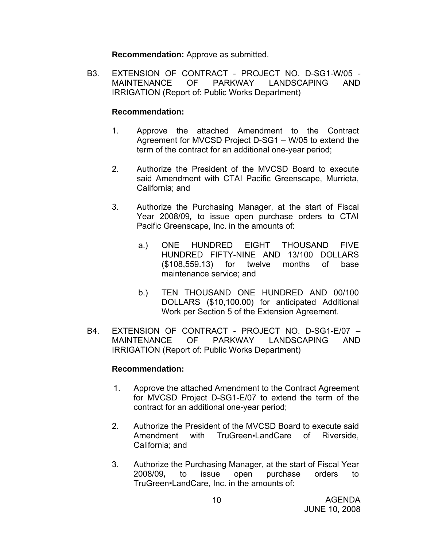**Recommendation:** Approve as submitted.

 B3. EXTENSION OF CONTRACT - PROJECT NO. D-SG1-W/05 - MAINTENANCE OF PARKWAY LANDSCAPING AND IRRIGATION (Report of: Public Works Department)

#### **Recommendation:**

- 1. Approve the attached Amendment to the Contract Agreement for MVCSD Project D-SG1 – W/05 to extend the term of the contract for an additional one-year period;
- 2. Authorize the President of the MVCSD Board to execute said Amendment with CTAI Pacific Greenscape, Murrieta, California; and
- 3. Authorize the Purchasing Manager, at the start of Fiscal Year 2008/09*,* to issue open purchase orders to CTAI Pacific Greenscape, Inc. in the amounts of:
	- a.) ONE HUNDRED EIGHT THOUSAND FIVE HUNDRED FIFTY-NINE AND 13/100 DOLLARS (\$108,559.13) for twelve months of base maintenance service; and
	- b.) TEN THOUSAND ONE HUNDRED AND 00/100 DOLLARS (\$10,100.00) for anticipated Additional Work per Section 5 of the Extension Agreement.
- B4. EXTENSION OF CONTRACT PROJECT NO. D-SG1-E/07 MAINTENANCE OF PARKWAY LANDSCAPING AND IRRIGATION (Report of: Public Works Department)

## **Recommendation:**

- 1. Approve the attached Amendment to the Contract Agreement for MVCSD Project D-SG1-E/07 to extend the term of the contract for an additional one-year period;
- 2. Authorize the President of the MVCSD Board to execute said Amendment with TruGreen•LandCare of Riverside, California; and
- 3. Authorize the Purchasing Manager, at the start of Fiscal Year 2008/09*,* to issue open purchase orders to TruGreen▪LandCare, Inc. in the amounts of: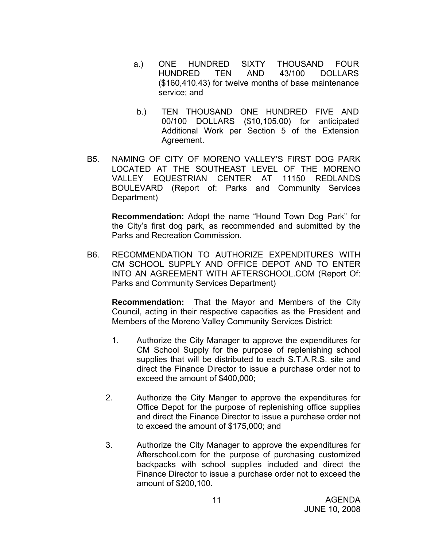- a.) ONE HUNDRED SIXTY THOUSAND FOUR HUNDRED TEN AND 43/100 DOLLARS (\$160,410.43) for twelve months of base maintenance service; and
- b.) TEN THOUSAND ONE HUNDRED FIVE AND 00/100 DOLLARS (\$10,105.00) for anticipated Additional Work per Section 5 of the Extension Agreement.
- B5. NAMING OF CITY OF MORENO VALLEY'S FIRST DOG PARK LOCATED AT THE SOUTHEAST LEVEL OF THE MORENO VALLEY EQUESTRIAN CENTER AT 11150 REDLANDS BOULEVARD (Report of: Parks and Community Services Department)

**Recommendation:** Adopt the name "Hound Town Dog Park" for the City's first dog park, as recommended and submitted by the Parks and Recreation Commission.

B6. RECOMMENDATION TO AUTHORIZE EXPENDITURES WITH CM SCHOOL SUPPLY AND OFFICE DEPOT AND TO ENTER INTO AN AGREEMENT WITH AFTERSCHOOL.COM (Report Of: Parks and Community Services Department)

**Recommendation:** That the Mayor and Members of the City Council, acting in their respective capacities as the President and Members of the Moreno Valley Community Services District:

- 1. Authorize the City Manager to approve the expenditures for CM School Supply for the purpose of replenishing school supplies that will be distributed to each S.T.A.R.S. site and direct the Finance Director to issue a purchase order not to exceed the amount of \$400,000;
- 2. Authorize the City Manger to approve the expenditures for Office Depot for the purpose of replenishing office supplies and direct the Finance Director to issue a purchase order not to exceed the amount of \$175,000; and
- 3. Authorize the City Manager to approve the expenditures for Afterschool.com for the purpose of purchasing customized backpacks with school supplies included and direct the Finance Director to issue a purchase order not to exceed the amount of \$200,100.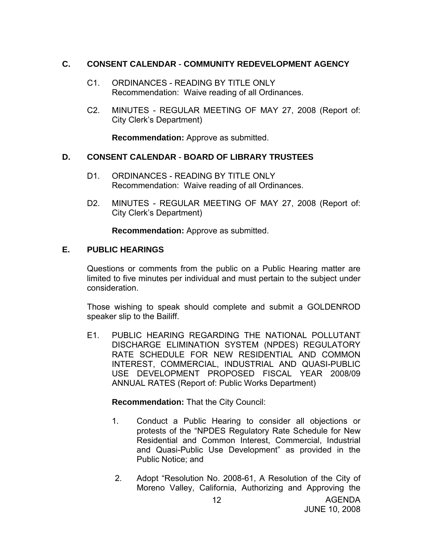### **C. CONSENT CALENDAR** - **COMMUNITY REDEVELOPMENT AGENCY**

- C1. ORDINANCES READING BY TITLE ONLY Recommendation: Waive reading of all Ordinances.
- C2. MINUTES REGULAR MEETING OF MAY 27, 2008 (Report of: City Clerk's Department)

**Recommendation:** Approve as submitted.

### **D. CONSENT CALENDAR** - **BOARD OF LIBRARY TRUSTEES**

- D1. ORDINANCES READING BY TITLE ONLY Recommendation: Waive reading of all Ordinances.
- D2. MINUTES REGULAR MEETING OF MAY 27, 2008 (Report of: City Clerk's Department)

**Recommendation:** Approve as submitted.

#### **E. PUBLIC HEARINGS**

Questions or comments from the public on a Public Hearing matter are limited to five minutes per individual and must pertain to the subject under consideration.

 Those wishing to speak should complete and submit a GOLDENROD speaker slip to the Bailiff.

E1. PUBLIC HEARING REGARDING THE NATIONAL POLLUTANT DISCHARGE ELIMINATION SYSTEM (NPDES) REGULATORY RATE SCHEDULE FOR NEW RESIDENTIAL AND COMMON INTEREST, COMMERCIAL, INDUSTRIAL AND QUASI-PUBLIC USE DEVELOPMENT PROPOSED FISCAL YEAR 2008/09 ANNUAL RATES (Report of: Public Works Department)

**Recommendation:** That the City Council:

- 1. Conduct a Public Hearing to consider all objections or protests of the "NPDES Regulatory Rate Schedule for New Residential and Common Interest, Commercial, Industrial and Quasi-Public Use Development" as provided in the Public Notice; and
- 2. Adopt "Resolution No. 2008-61, A Resolution of the City of Moreno Valley, California, Authorizing and Approving the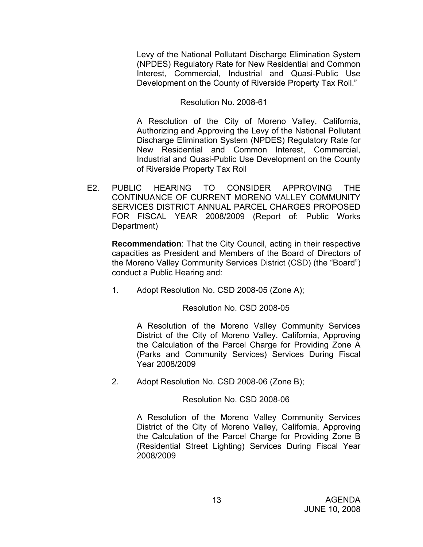Levy of the National Pollutant Discharge Elimination System (NPDES) Regulatory Rate for New Residential and Common Interest, Commercial, Industrial and Quasi-Public Use Development on the County of Riverside Property Tax Roll."

## Resolution No. 2008-61

A Resolution of the City of Moreno Valley, California, Authorizing and Approving the Levy of the National Pollutant Discharge Elimination System (NPDES) Regulatory Rate for New Residential and Common Interest, Commercial, Industrial and Quasi-Public Use Development on the County of Riverside Property Tax Roll

E2. PUBLIC HEARING TO CONSIDER APPROVING THE CONTINUANCE OF CURRENT MORENO VALLEY COMMUNITY SERVICES DISTRICT ANNUAL PARCEL CHARGES PROPOSED FOR FISCAL YEAR 2008/2009 (Report of: Public Works Department)

**Recommendation**: That the City Council, acting in their respective capacities as President and Members of the Board of Directors of the Moreno Valley Community Services District (CSD) (the "Board") conduct a Public Hearing and:

1. Adopt Resolution No. CSD 2008-05 (Zone A);

Resolution No. CSD 2008-05

A Resolution of the Moreno Valley Community Services District of the City of Moreno Valley, California, Approving the Calculation of the Parcel Charge for Providing Zone A (Parks and Community Services) Services During Fiscal Year 2008/2009

2. Adopt Resolution No. CSD 2008-06 (Zone B);

## Resolution No. CSD 2008-06

A Resolution of the Moreno Valley Community Services District of the City of Moreno Valley, California, Approving the Calculation of the Parcel Charge for Providing Zone B (Residential Street Lighting) Services During Fiscal Year 2008/2009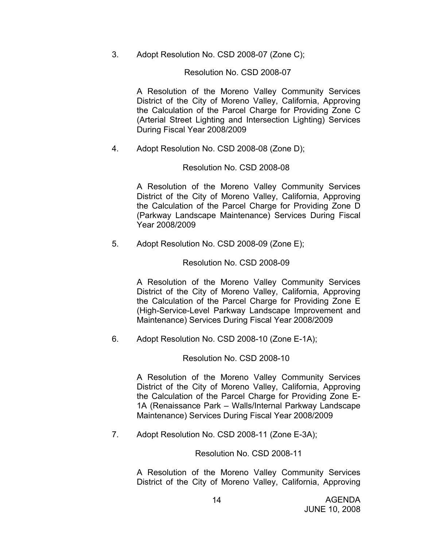3. Adopt Resolution No. CSD 2008-07 (Zone C);

#### Resolution No. CSD 2008-07

A Resolution of the Moreno Valley Community Services District of the City of Moreno Valley, California, Approving the Calculation of the Parcel Charge for Providing Zone C (Arterial Street Lighting and Intersection Lighting) Services During Fiscal Year 2008/2009

4. Adopt Resolution No. CSD 2008-08 (Zone D);

#### Resolution No. CSD 2008-08

A Resolution of the Moreno Valley Community Services District of the City of Moreno Valley, California, Approving the Calculation of the Parcel Charge for Providing Zone D (Parkway Landscape Maintenance) Services During Fiscal Year 2008/2009

5. Adopt Resolution No. CSD 2008-09 (Zone E);

### Resolution No. CSD 2008-09

A Resolution of the Moreno Valley Community Services District of the City of Moreno Valley, California, Approving the Calculation of the Parcel Charge for Providing Zone E (High-Service-Level Parkway Landscape Improvement and Maintenance) Services During Fiscal Year 2008/2009

6. Adopt Resolution No. CSD 2008-10 (Zone E-1A);

#### Resolution No. CSD 2008-10

A Resolution of the Moreno Valley Community Services District of the City of Moreno Valley, California, Approving the Calculation of the Parcel Charge for Providing Zone E-1A (Renaissance Park – Walls/Internal Parkway Landscape Maintenance) Services During Fiscal Year 2008/2009

7. Adopt Resolution No. CSD 2008-11 (Zone E-3A);

#### Resolution No. CSD 2008-11

A Resolution of the Moreno Valley Community Services District of the City of Moreno Valley, California, Approving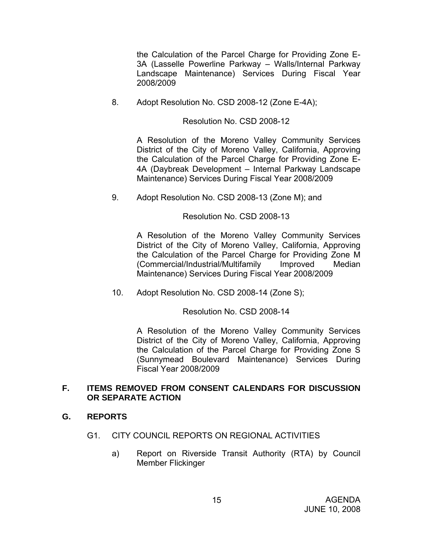the Calculation of the Parcel Charge for Providing Zone E-3A (Lasselle Powerline Parkway – Walls/Internal Parkway Landscape Maintenance) Services During Fiscal Year 2008/2009

8. Adopt Resolution No. CSD 2008-12 (Zone E-4A);

Resolution No. CSD 2008-12

A Resolution of the Moreno Valley Community Services District of the City of Moreno Valley, California, Approving the Calculation of the Parcel Charge for Providing Zone E-4A (Daybreak Development – Internal Parkway Landscape Maintenance) Services During Fiscal Year 2008/2009

9. Adopt Resolution No. CSD 2008-13 (Zone M); and

Resolution No. CSD 2008-13

A Resolution of the Moreno Valley Community Services District of the City of Moreno Valley, California, Approving the Calculation of the Parcel Charge for Providing Zone M (Commercial/Industrial/Multifamily Improved Median Maintenance) Services During Fiscal Year 2008/2009

10. Adopt Resolution No. CSD 2008-14 (Zone S);

Resolution No. CSD 2008-14

A Resolution of the Moreno Valley Community Services District of the City of Moreno Valley, California, Approving the Calculation of the Parcel Charge for Providing Zone S (Sunnymead Boulevard Maintenance) Services During Fiscal Year 2008/2009

#### **F. ITEMS REMOVED FROM CONSENT CALENDARS FOR DISCUSSION OR SEPARATE ACTION**

## **G. REPORTS**

- G1. CITY COUNCIL REPORTS ON REGIONAL ACTIVITIES
	- a) Report on Riverside Transit Authority (RTA) by Council Member Flickinger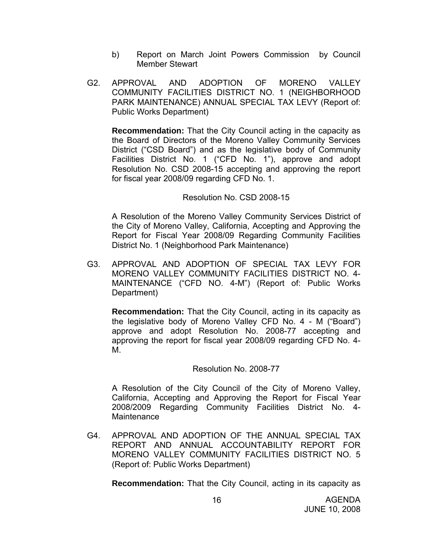- b) Report on March Joint Powers Commission by Council Member Stewart
- G2. APPROVAL AND ADOPTION OF MORENO VALLEY COMMUNITY FACILITIES DISTRICT NO. 1 (NEIGHBORHOOD PARK MAINTENANCE) ANNUAL SPECIAL TAX LEVY (Report of: Public Works Department)

**Recommendation:** That the City Council acting in the capacity as the Board of Directors of the Moreno Valley Community Services District ("CSD Board") and as the legislative body of Community Facilities District No. 1 ("CFD No. 1"), approve and adopt Resolution No. CSD 2008-15 accepting and approving the report for fiscal year 2008/09 regarding CFD No. 1.

#### Resolution No. CSD 2008-15

A Resolution of the Moreno Valley Community Services District of the City of Moreno Valley, California, Accepting and Approving the Report for Fiscal Year 2008/09 Regarding Community Facilities District No. 1 (Neighborhood Park Maintenance)

G3. APPROVAL AND ADOPTION OF SPECIAL TAX LEVY FOR MORENO VALLEY COMMUNITY FACILITIES DISTRICT NO. 4- MAINTENANCE ("CFD NO. 4-M") (Report of: Public Works Department)

**Recommendation:** That the City Council, acting in its capacity as the legislative body of Moreno Valley CFD No. 4 - M ("Board") approve and adopt Resolution No. 2008-77 accepting and approving the report for fiscal year 2008/09 regarding CFD No. 4- M.

#### Resolution No. 2008-77

A Resolution of the City Council of the City of Moreno Valley, California, Accepting and Approving the Report for Fiscal Year 2008/2009 Regarding Community Facilities District No. 4- Maintenance

G4. APPROVAL AND ADOPTION OF THE ANNUAL SPECIAL TAX REPORT AND ANNUAL ACCOUNTABILITY REPORT FOR MORENO VALLEY COMMUNITY FACILITIES DISTRICT NO. 5 (Report of: Public Works Department)

**Recommendation:** That the City Council, acting in its capacity as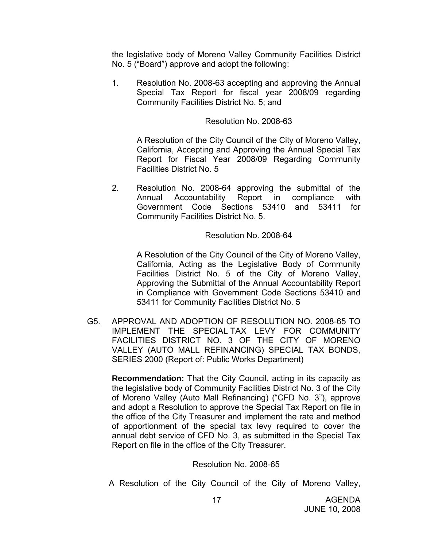the legislative body of Moreno Valley Community Facilities District No. 5 ("Board") approve and adopt the following:

1. Resolution No. 2008-63 accepting and approving the Annual Special Tax Report for fiscal year 2008/09 regarding Community Facilities District No. 5; and

#### Resolution No. 2008-63

A Resolution of the City Council of the City of Moreno Valley, California, Accepting and Approving the Annual Special Tax Report for Fiscal Year 2008/09 Regarding Community Facilities District No. 5

2. Resolution No. 2008-64 approving the submittal of the Annual Accountability Report in compliance with Government Code Sections 53410 and 53411 for Community Facilities District No. 5.

#### Resolution No. 2008-64

A Resolution of the City Council of the City of Moreno Valley, California, Acting as the Legislative Body of Community Facilities District No. 5 of the City of Moreno Valley, Approving the Submittal of the Annual Accountability Report in Compliance with Government Code Sections 53410 and 53411 for Community Facilities District No. 5

G5. APPROVAL AND ADOPTION OF RESOLUTION NO. 2008-65 TO IMPLEMENT THE SPECIAL TAX LEVY FOR COMMUNITY FACILITIES DISTRICT NO. 3 OF THE CITY OF MORENO VALLEY (AUTO MALL REFINANCING) SPECIAL TAX BONDS, SERIES 2000 (Report of: Public Works Department)

**Recommendation:** That the City Council, acting in its capacity as the legislative body of Community Facilities District No. 3 of the City of Moreno Valley (Auto Mall Refinancing) ("CFD No. 3"), approve and adopt a Resolution to approve the Special Tax Report on file in the office of the City Treasurer and implement the rate and method of apportionment of the special tax levy required to cover the annual debt service of CFD No. 3, as submitted in the Special Tax Report on file in the office of the City Treasurer.

#### Resolution No. 2008-65

A Resolution of the City Council of the City of Moreno Valley,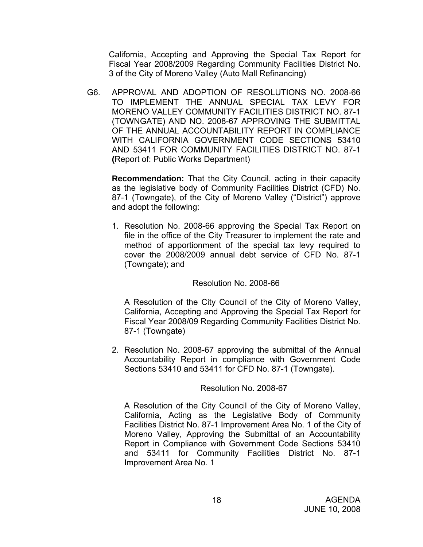California, Accepting and Approving the Special Tax Report for Fiscal Year 2008/2009 Regarding Community Facilities District No. 3 of the City of Moreno Valley (Auto Mall Refinancing)

G6. APPROVAL AND ADOPTION OF RESOLUTIONS NO. 2008-66 TO IMPLEMENT THE ANNUAL SPECIAL TAX LEVY FOR MORENO VALLEY COMMUNITY FACILITIES DISTRICT NO. 87-1 (TOWNGATE) AND NO. 2008-67 APPROVING THE SUBMITTAL OF THE ANNUAL ACCOUNTABILITY REPORT IN COMPLIANCE WITH CALIFORNIA GOVERNMENT CODE SECTIONS 53410 AND 53411 FOR COMMUNITY FACILITIES DISTRICT NO. 87-1 **(**Report of: Public Works Department)

**Recommendation:** That the City Council, acting in their capacity as the legislative body of Community Facilities District (CFD) No. 87-1 (Towngate), of the City of Moreno Valley ("District") approve and adopt the following:

1. Resolution No. 2008-66 approving the Special Tax Report on file in the office of the City Treasurer to implement the rate and method of apportionment of the special tax levy required to cover the 2008/2009 annual debt service of CFD No. 87-1 (Towngate); and

#### Resolution No. 2008-66

A Resolution of the City Council of the City of Moreno Valley, California, Accepting and Approving the Special Tax Report for Fiscal Year 2008/09 Regarding Community Facilities District No. 87-1 (Towngate)

2. Resolution No. 2008-67 approving the submittal of the Annual Accountability Report in compliance with Government Code Sections 53410 and 53411 for CFD No. 87-1 (Towngate).

## Resolution No. 2008-67

A Resolution of the City Council of the City of Moreno Valley, California, Acting as the Legislative Body of Community Facilities District No. 87-1 Improvement Area No. 1 of the City of Moreno Valley, Approving the Submittal of an Accountability Report in Compliance with Government Code Sections 53410 and 53411 for Community Facilities District No. 87-1 Improvement Area No. 1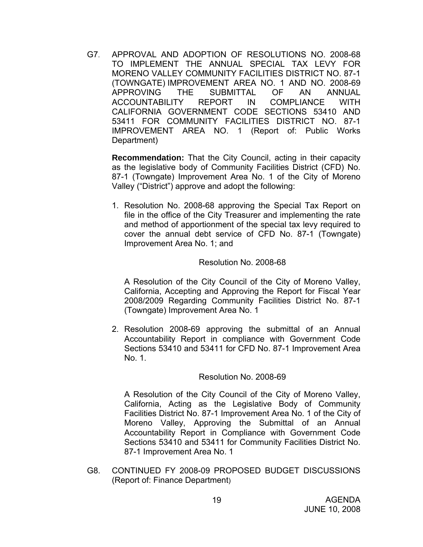G7. APPROVAL AND ADOPTION OF RESOLUTIONS NO. 2008-68 TO IMPLEMENT THE ANNUAL SPECIAL TAX LEVY FOR MORENO VALLEY COMMUNITY FACILITIES DISTRICT NO. 87-1 (TOWNGATE) IMPROVEMENT AREA NO. 1 AND NO. 2008-69 APPROVING THE SUBMITTAL OF AN ANNUAL ACCOUNTABILITY REPORT IN COMPLIANCE WITH CALIFORNIA GOVERNMENT CODE SECTIONS 53410 AND 53411 FOR COMMUNITY FACILITIES DISTRICT NO. 87-1 IMPROVEMENT AREA NO. 1 (Report of: Public Works Department)

**Recommendation:** That the City Council, acting in their capacity as the legislative body of Community Facilities District (CFD) No. 87-1 (Towngate) Improvement Area No. 1 of the City of Moreno Valley ("District") approve and adopt the following:

1. Resolution No. 2008-68 approving the Special Tax Report on file in the office of the City Treasurer and implementing the rate and method of apportionment of the special tax levy required to cover the annual debt service of CFD No. 87-1 (Towngate) Improvement Area No. 1; and

#### Resolution No. 2008-68

A Resolution of the City Council of the City of Moreno Valley, California, Accepting and Approving the Report for Fiscal Year 2008/2009 Regarding Community Facilities District No. 87-1 (Towngate) Improvement Area No. 1

2. Resolution 2008-69 approving the submittal of an Annual Accountability Report in compliance with Government Code Sections 53410 and 53411 for CFD No. 87-1 Improvement Area No. 1.

#### Resolution No. 2008-69

A Resolution of the City Council of the City of Moreno Valley, California, Acting as the Legislative Body of Community Facilities District No. 87-1 Improvement Area No. 1 of the City of Moreno Valley, Approving the Submittal of an Annual Accountability Report in Compliance with Government Code Sections 53410 and 53411 for Community Facilities District No. 87-1 Improvement Area No. 1

G8. CONTINUED FY 2008-09 PROPOSED BUDGET DISCUSSIONS (Report of: Finance Department)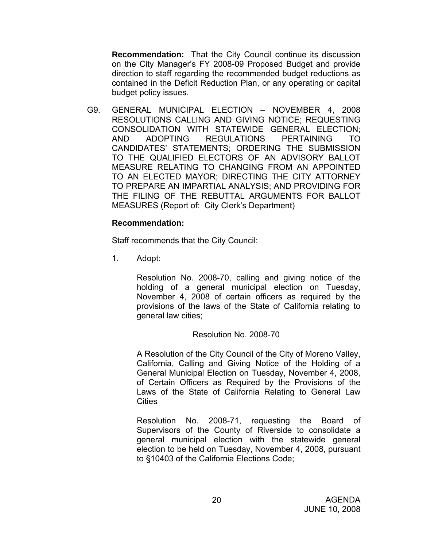**Recommendation:** That the City Council continue its discussion on the City Manager's FY 2008-09 Proposed Budget and provide direction to staff regarding the recommended budget reductions as contained in the Deficit Reduction Plan, or any operating or capital budget policy issues.

G9. GENERAL MUNICIPAL ELECTION – NOVEMBER 4, 2008 RESOLUTIONS CALLING AND GIVING NOTICE; REQUESTING CONSOLIDATION WITH STATEWIDE GENERAL ELECTION; AND ADOPTING REGULATIONS PERTAINING TO CANDIDATES' STATEMENTS; ORDERING THE SUBMISSION TO THE QUALIFIED ELECTORS OF AN ADVISORY BALLOT MEASURE RELATING TO CHANGING FROM AN APPOINTED TO AN ELECTED MAYOR; DIRECTING THE CITY ATTORNEY TO PREPARE AN IMPARTIAL ANALYSIS; AND PROVIDING FOR THE FILING OF THE REBUTTAL ARGUMENTS FOR BALLOT MEASURES (Report of: City Clerk's Department)

#### **Recommendation:**

Staff recommends that the City Council:

1. Adopt:

Resolution No. 2008-70, calling and giving notice of the holding of a general municipal election on Tuesday, November 4, 2008 of certain officers as required by the provisions of the laws of the State of California relating to general law cities;

#### Resolution No. 2008-70

A Resolution of the City Council of the City of Moreno Valley, California, Calling and Giving Notice of the Holding of a General Municipal Election on Tuesday, November 4, 2008, of Certain Officers as Required by the Provisions of the Laws of the State of California Relating to General Law **Cities** 

Resolution No. 2008-71, requesting the Board of Supervisors of the County of Riverside to consolidate a general municipal election with the statewide general election to be held on Tuesday, November 4, 2008, pursuant to §10403 of the California Elections Code;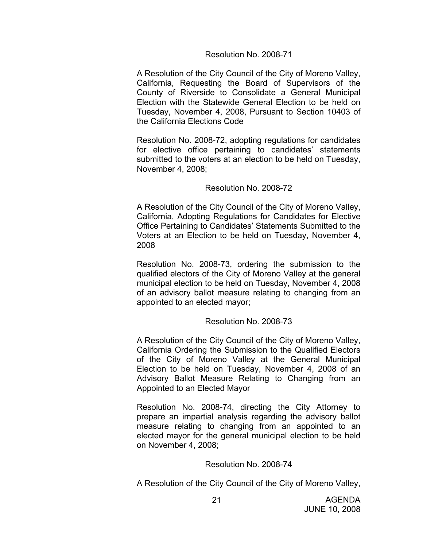#### Resolution No. 2008-71

A Resolution of the City Council of the City of Moreno Valley, California, Requesting the Board of Supervisors of the County of Riverside to Consolidate a General Municipal Election with the Statewide General Election to be held on Tuesday, November 4, 2008, Pursuant to Section 10403 of the California Elections Code

Resolution No. 2008-72, adopting regulations for candidates for elective office pertaining to candidates' statements submitted to the voters at an election to be held on Tuesday, November 4, 2008;

#### Resolution No. 2008-72

A Resolution of the City Council of the City of Moreno Valley, California, Adopting Regulations for Candidates for Elective Office Pertaining to Candidates' Statements Submitted to the Voters at an Election to be held on Tuesday, November 4, 2008

Resolution No. 2008-73, ordering the submission to the qualified electors of the City of Moreno Valley at the general municipal election to be held on Tuesday, November 4, 2008 of an advisory ballot measure relating to changing from an appointed to an elected mayor;

#### Resolution No. 2008-73

A Resolution of the City Council of the City of Moreno Valley, California Ordering the Submission to the Qualified Electors of the City of Moreno Valley at the General Municipal Election to be held on Tuesday, November 4, 2008 of an Advisory Ballot Measure Relating to Changing from an Appointed to an Elected Mayor

Resolution No. 2008-74, directing the City Attorney to prepare an impartial analysis regarding the advisory ballot measure relating to changing from an appointed to an elected mayor for the general municipal election to be held on November 4, 2008;

#### Resolution No. 2008-74

A Resolution of the City Council of the City of Moreno Valley,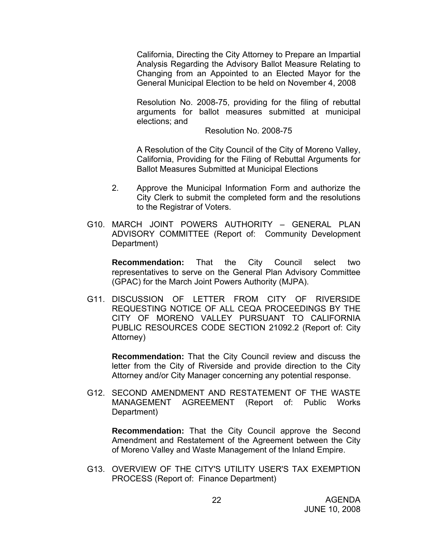California, Directing the City Attorney to Prepare an Impartial Analysis Regarding the Advisory Ballot Measure Relating to Changing from an Appointed to an Elected Mayor for the General Municipal Election to be held on November 4, 2008

Resolution No. 2008-75, providing for the filing of rebuttal arguments for ballot measures submitted at municipal elections; and

Resolution No. 2008-75

A Resolution of the City Council of the City of Moreno Valley, California, Providing for the Filing of Rebuttal Arguments for Ballot Measures Submitted at Municipal Elections

- 2. Approve the Municipal Information Form and authorize the City Clerk to submit the completed form and the resolutions to the Registrar of Voters.
- G10. MARCH JOINT POWERS AUTHORITY GENERAL PLAN ADVISORY COMMITTEE (Report of: Community Development Department)

**Recommendation:** That the City Council select two representatives to serve on the General Plan Advisory Committee (GPAC) for the March Joint Powers Authority (MJPA).

G11. DISCUSSION OF LETTER FROM CITY OF RIVERSIDE REQUESTING NOTICE OF ALL CEQA PROCEEDINGS BY THE CITY OF MORENO VALLEY PURSUANT TO CALIFORNIA PUBLIC RESOURCES CODE SECTION 21092.2 (Report of: City Attorney)

**Recommendation:** That the City Council review and discuss the letter from the City of Riverside and provide direction to the City Attorney and/or City Manager concerning any potential response.

G12. SECOND AMENDMENT AND RESTATEMENT OF THE WASTE MANAGEMENT AGREEMENT (Report of: Public Works Department)

**Recommendation:** That the City Council approve the Second Amendment and Restatement of the Agreement between the City of Moreno Valley and Waste Management of the Inland Empire.

G13. OVERVIEW OF THE CITY'S UTILITY USER'S TAX EXEMPTION PROCESS (Report of: Finance Department)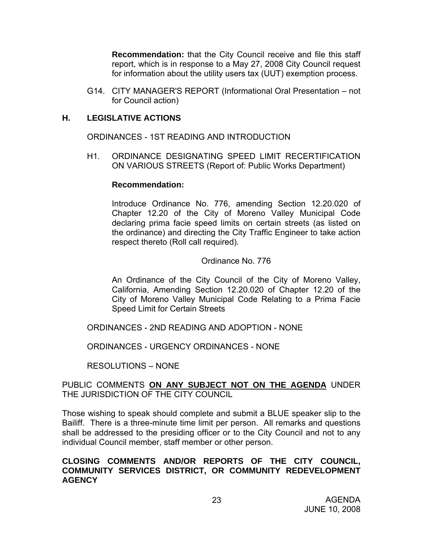**Recommendation:** that the City Council receive and file this staff report, which is in response to a May 27, 2008 City Council request for information about the utility users tax (UUT) exemption process.

G14. CITY MANAGER'S REPORT (Informational Oral Presentation – not for Council action)

#### **H. LEGISLATIVE ACTIONS**

ORDINANCES - 1ST READING AND INTRODUCTION

H1. ORDINANCE DESIGNATING SPEED LIMIT RECERTIFICATION ON VARIOUS STREETS (Report of: Public Works Department)

#### **Recommendation:**

Introduce Ordinance No. 776, amending Section 12.20.020 of Chapter 12.20 of the City of Moreno Valley Municipal Code declaring prima facie speed limits on certain streets (as listed on the ordinance) and directing the City Traffic Engineer to take action respect thereto (Roll call required).

#### Ordinance No. 776

An Ordinance of the City Council of the City of Moreno Valley, California, Amending Section 12.20.020 of Chapter 12.20 of the City of Moreno Valley Municipal Code Relating to a Prima Facie Speed Limit for Certain Streets

ORDINANCES - 2ND READING AND ADOPTION - NONE

ORDINANCES - URGENCY ORDINANCES - NONE

RESOLUTIONS – NONE

#### PUBLIC COMMENTS **ON ANY SUBJECT NOT ON THE AGENDA** UNDER THE JURISDICTION OF THE CITY COUNCIL

Those wishing to speak should complete and submit a BLUE speaker slip to the Bailiff. There is a three-minute time limit per person. All remarks and questions shall be addressed to the presiding officer or to the City Council and not to any individual Council member, staff member or other person.

#### **CLOSING COMMENTS AND/OR REPORTS OF THE CITY COUNCIL, COMMUNITY SERVICES DISTRICT, OR COMMUNITY REDEVELOPMENT AGENCY**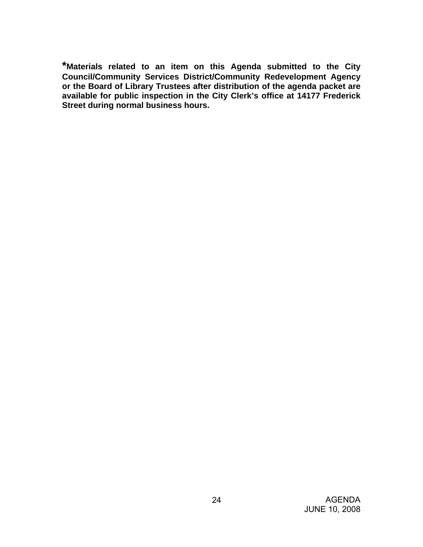**\*Materials related to an item on this Agenda submitted to the City Council/Community Services District/Community Redevelopment Agency or the Board of Library Trustees after distribution of the agenda packet are available for public inspection in the City Clerk's office at 14177 Frederick Street during normal business hours.**